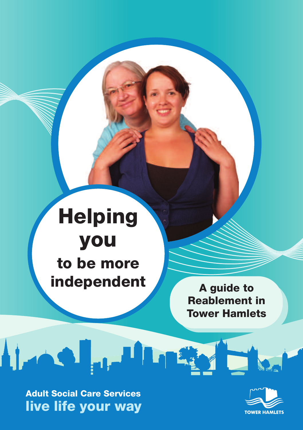# **Helping you to be more independent**

**A guide to Reablement in Tower Hamlets**

**Adult Social Care Services live life your way**

ويتلقمن الذهملة

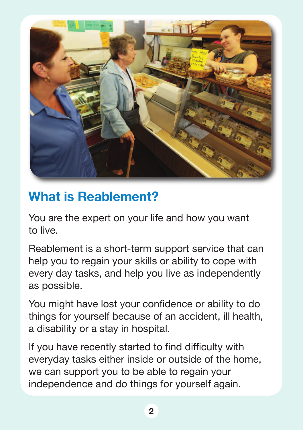

# **What is Reablement?**

You are the expert on your life and how you want to live.

Reablement is a short-term support service that can help you to regain your skills or ability to cope with every day tasks, and help you live as independently as possible.

You might have lost your confidence or ability to do things for yourself because of an accident, ill health, a disability or a stay in hospital.

If you have recently started to find difficulty with everyday tasks either inside or outside of the home, we can support you to be able to regain your independence and do things for yourself again.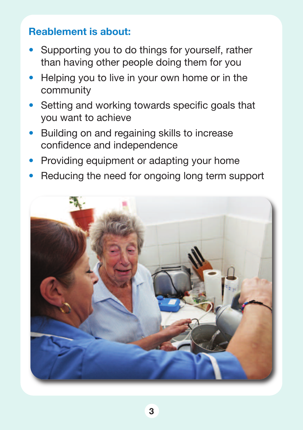#### **Reablement is about:**

- Supporting you to do things for yourself, rather than having other people doing them for you
- Helping you to live in your own home or in the community
- Setting and working towards specific goals that you want to achieve
- Building on and regaining skills to increase confidence and independence
- Providing equipment or adapting your home
- Reducing the need for ongoing long term support

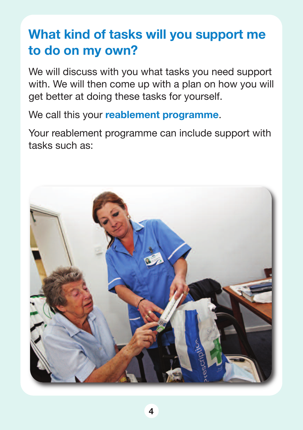# **What kind of tasks will you support me to do on my own?**

We will discuss with you what tasks you need support with. We will then come up with a plan on how you will get better at doing these tasks for yourself.

We call this your **reablement programme**.

Your reablement programme can include support with tasks such as:

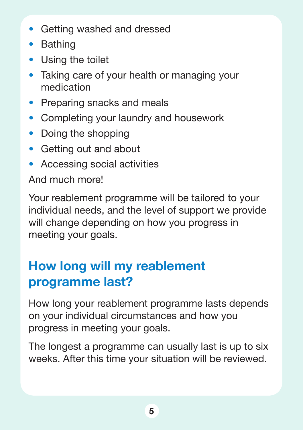- Getting washed and dressed
- Bathing
- Using the toilet
- Taking care of your health or managing your medication
- Preparing snacks and meals
- Completing your laundry and housework
- Doing the shopping
- Getting out and about
- Accessing social activities

And much more!

Your reablement programme will be tailored to your individual needs, and the level of support we provide will change depending on how you progress in meeting your goals.

# **How long will my reablement programme last?**

How long your reablement programme lasts depends on your individual circumstances and how you progress in meeting your goals.

The longest a programme can usually last is up to six weeks. After this time your situation will be reviewed.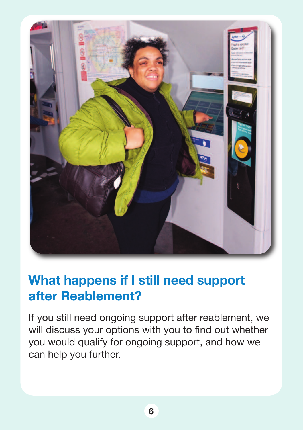

### **What happens if I still need support after Reablement?**

If you still need ongoing support after reablement, we will discuss your options with you to find out whether you would qualify for ongoing support, and how we can help you further.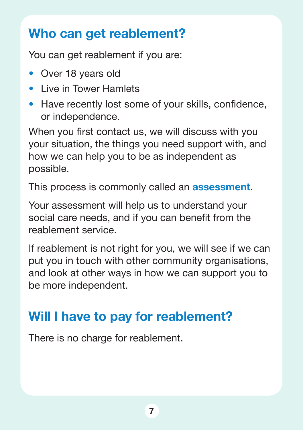### **Who can get reablement?**

You can get reablement if you are:

- Over 18 years old
- Live in Tower Hamlets
- Have recently lost some of your skills, confidence, or independence.

When you first contact us, we will discuss with you your situation, the things you need support with, and how we can help you to be as independent as possible.

This process is commonly called an **assessment**.

Your assessment will help us to understand your social care needs, and if you can benefit from the reablement service.

If reablement is not right for you, we will see if we can put you in touch with other community organisations, and look at other ways in how we can support you to be more independent.

# **Will I have to pay for reablement?**

There is no charge for reablement.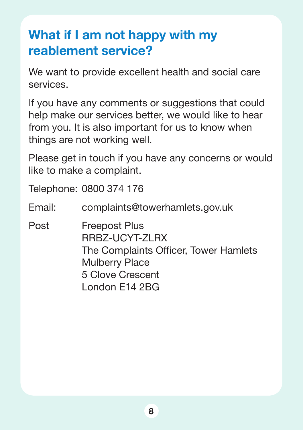# **What if I am not happy with my reablement service?**

We want to provide excellent health and social care services.

If you have any comments or suggestions that could help make our services better, we would like to hear from you. It is also important for us to know when things are not working well.

Please get in touch if you have any concerns or would like to make a complaint.

Telephone: 0800 374 176

Email: complaints@towerhamlets.gov.uk

Post Freepost Plus RRBZ-UCYT-ZLRX The Complaints Officer, Tower Hamlets Mulberry Place 5 Clove Crescent London E14 2BG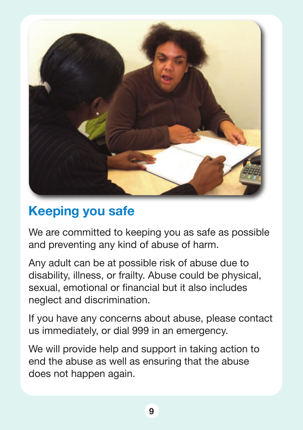

#### **Keeping you safe**

We are committed to keeping you as safe as possible and preventing any kind of abuse of harm.

Any adult can be at possible risk of abuse due to disability, illness, or frailty. Abuse could be physical, sexual, emotional or financial but it also includes neglect and discrimination.

If you have any concerns about abuse, please contact us immediately, or dial 999 in an emergency.

We will provide help and support in taking action to end the abuse as well as ensuring that the abuse does not happen again.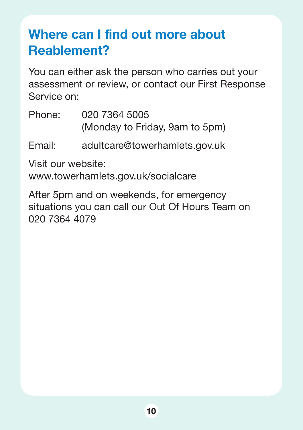# **Where can I find out more about Reablement?**

You can either ask the person who carries out your assessment or review, or contact our First Response Service on:

Phone: 020 7364 5005 (Monday to Friday, 9am to 5pm)

#### Email: adultcare@towerhamlets.gov.uk

Visit our website:

www.towerhamlets.gov.uk/socialcare

After 5pm and on weekends, for emergency situations you can call our Out Of Hours Team on 020 7364 4079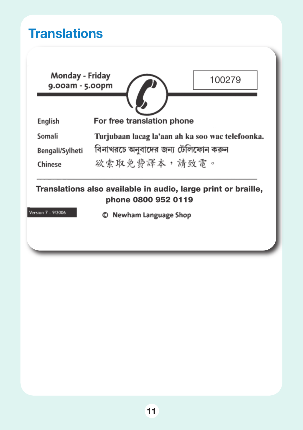#### **Translations**

Monday - Friday 9.00am - 5.00pm



100279

For free translation phone English

Somali Turjubaan lacag la'aan ah ka soo wac telefoonka.

বিনাখরচে অনুবাদের জন্য টেলিফোন করুন Bengali/Sylheti

欲索取免費譯本,請致電。 **Chinese** 

Translations also available in audio, large print or braille, phone 0800 952 0119

Version 7 - 9/2006

© Newham Language Shop